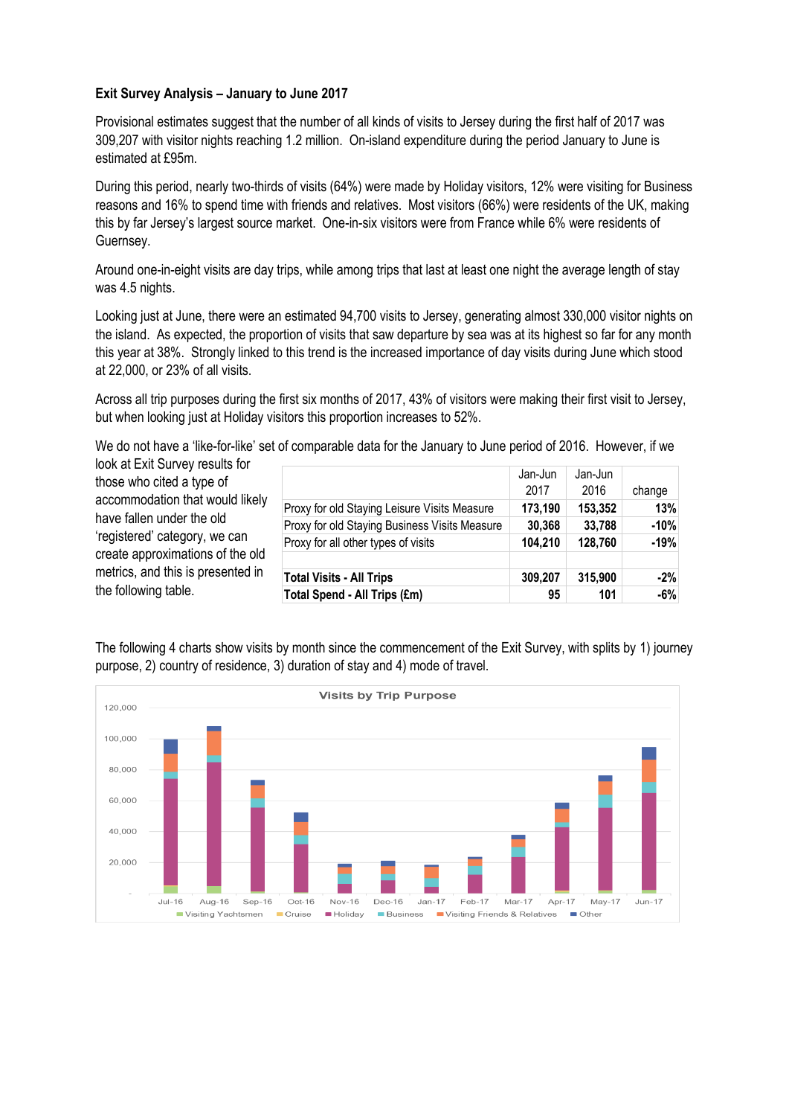## **Exit Survey Analysis – January to June 2017**

Provisional estimates suggest that the number of all kinds of visits to Jersey during the first half of 2017 was 309,207 with visitor nights reaching 1.2 million. On-island expenditure during the period January to June is estimated at £95m.

During this period, nearly two-thirds of visits (64%) were made by Holiday visitors, 12% were visiting for Business reasons and 16% to spend time with friends and relatives. Most visitors (66%) were residents of the UK, making this by far Jersey's largest source market. One-in-six visitors were from France while 6% were residents of Guernsey.

Around one-in-eight visits are day trips, while among trips that last at least one night the average length of stay was 4.5 nights.

Looking just at June, there were an estimated 94,700 visits to Jersey, generating almost 330,000 visitor nights on the island. As expected, the proportion of visits that saw departure by sea was at its highest so far for any month this year at 38%. Strongly linked to this trend is the increased importance of day visits during June which stood at 22,000, or 23% of all visits.

Across all trip purposes during the first six months of 2017, 43% of visitors were making their first visit to Jersey, but when looking just at Holiday visitors this proportion increases to 52%.

We do not have a 'like-for-like' set of comparable data for the January to June period of 2016. However, if we

look at Exit Survey results for those who cited a type of accommodation that would likely have fallen under the old 'registered' category, we can create approximations of the old metrics, and this is presented in the following table.

|                                               | Jan-Jun<br>2017 | Jan-Jun<br>2016 | change |
|-----------------------------------------------|-----------------|-----------------|--------|
| Proxy for old Staying Leisure Visits Measure  | 173,190         | 153,352         | 13%    |
| Proxy for old Staying Business Visits Measure | 30,368          | 33,788          | $-10%$ |
| Proxy for all other types of visits           | 104,210         | 128,760         | $-19%$ |
|                                               |                 |                 |        |
| <b>Total Visits - All Trips</b>               | 309,207         | 315,900         | $-2%$  |
| Total Spend - All Trips (£m)                  | 95              | 101             | -6%    |

The following 4 charts show visits by month since the commencement of the Exit Survey, with splits by 1) journey purpose, 2) country of residence, 3) duration of stay and 4) mode of travel.